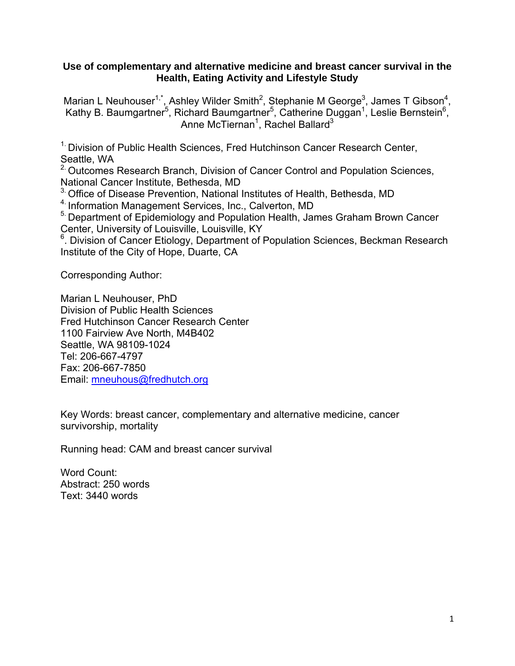## **Use of complementary and alternative medicine and breast cancer survival in the Health, Eating Activity and Lifestyle Study**

Marian L Neuhouser<sup>1,\*</sup>, Ashley Wilder Smith<sup>2</sup>, Stephanie M George<sup>3</sup>, James T Gibson<sup>4</sup>, Kathy B. Baumgartner<sup>5</sup>, Richard Baumgartner<sup>5</sup>, Catherine Duggan<sup>1</sup>, Leslie Bernstein<sup>6</sup>, Anne McTiernan<sup>1</sup>, Rachel Ballard<sup>3</sup>

<sup>1.</sup> Division of Public Health Sciences, Fred Hutchinson Cancer Research Center, Seattle, WA

<sup>2</sup> Outcomes Research Branch, Division of Cancer Control and Population Sciences, National Cancer Institute, Bethesda, MD

<sup>3.</sup> Office of Disease Prevention, National Institutes of Health, Bethesda, MD

4. Information Management Services, Inc., Calverton, MD

<sup>5</sup>. Department of Epidemiology and Population Health, James Graham Brown Cancer Center, University of Louisville, Louisville, KY

<sup>6</sup>. Division of Cancer Etiology, Department of Population Sciences, Beckman Research Institute of the City of Hope, Duarte, CA

Corresponding Author:

Marian L Neuhouser, PhD Division of Public Health Sciences Fred Hutchinson Cancer Research Center 1100 Fairview Ave North, M4B402 Seattle, WA 98109-1024 Tel: 206-667-4797 Fax: 206-667-7850 Email: mneuhous@fredhutch.org

Key Words: breast cancer, complementary and alternative medicine, cancer survivorship, mortality

Running head: CAM and breast cancer survival

Word Count: Abstract: 250 words Text: 3440 words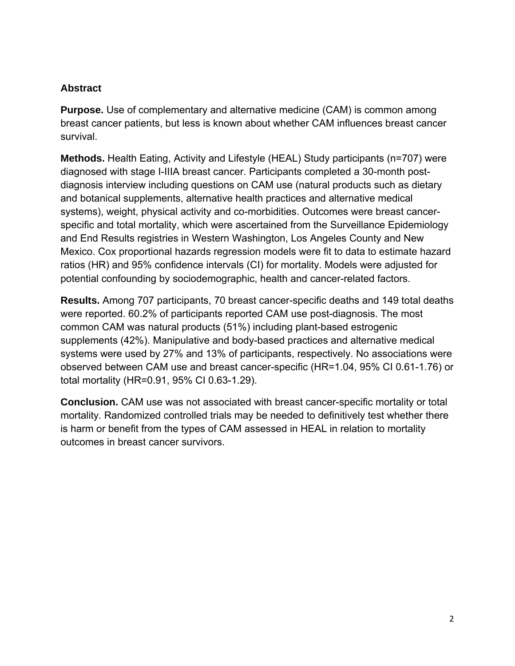# **Abstract**

**Purpose.** Use of complementary and alternative medicine (CAM) is common among breast cancer patients, but less is known about whether CAM influences breast cancer survival.

**Methods.** Health Eating, Activity and Lifestyle (HEAL) Study participants (n=707) were diagnosed with stage I-IIIA breast cancer. Participants completed a 30-month postdiagnosis interview including questions on CAM use (natural products such as dietary and botanical supplements, alternative health practices and alternative medical systems), weight, physical activity and co-morbidities. Outcomes were breast cancerspecific and total mortality, which were ascertained from the Surveillance Epidemiology and End Results registries in Western Washington, Los Angeles County and New Mexico. Cox proportional hazards regression models were fit to data to estimate hazard ratios (HR) and 95% confidence intervals (CI) for mortality. Models were adjusted for potential confounding by sociodemographic, health and cancer-related factors.

**Results.** Among 707 participants, 70 breast cancer-specific deaths and 149 total deaths were reported. 60.2% of participants reported CAM use post-diagnosis. The most common CAM was natural products (51%) including plant-based estrogenic supplements (42%). Manipulative and body-based practices and alternative medical systems were used by 27% and 13% of participants, respectively. No associations were observed between CAM use and breast cancer-specific (HR=1.04, 95% CI 0.61-1.76) or total mortality (HR=0.91, 95% CI 0.63-1.29).

**Conclusion.** CAM use was not associated with breast cancer-specific mortality or total mortality. Randomized controlled trials may be needed to definitively test whether there is harm or benefit from the types of CAM assessed in HEAL in relation to mortality outcomes in breast cancer survivors.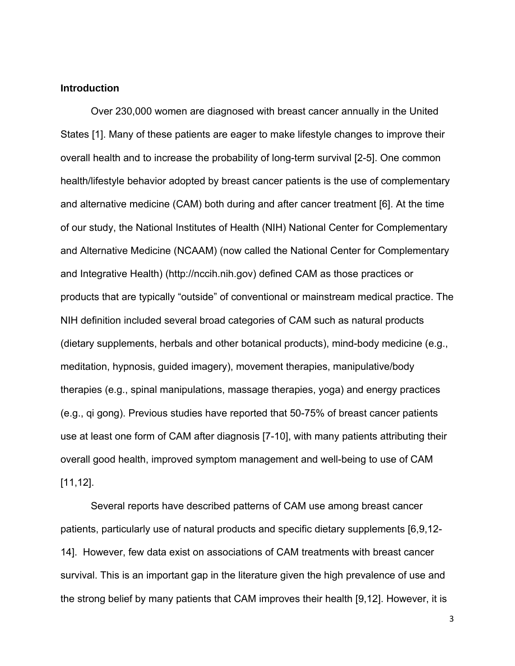## **Introduction**

 Over 230,000 women are diagnosed with breast cancer annually in the United States [1]. Many of these patients are eager to make lifestyle changes to improve their overall health and to increase the probability of long-term survival [2-5]. One common health/lifestyle behavior adopted by breast cancer patients is the use of complementary and alternative medicine (CAM) both during and after cancer treatment [6]. At the time of our study, the National Institutes of Health (NIH) National Center for Complementary and Alternative Medicine (NCAAM) (now called the National Center for Complementary and Integrative Health) (http://nccih.nih.gov) defined CAM as those practices or products that are typically "outside" of conventional or mainstream medical practice. The NIH definition included several broad categories of CAM such as natural products (dietary supplements, herbals and other botanical products), mind-body medicine (e.g., meditation, hypnosis, guided imagery), movement therapies, manipulative/body therapies (e.g., spinal manipulations, massage therapies, yoga) and energy practices (e.g., qi gong). Previous studies have reported that 50-75% of breast cancer patients use at least one form of CAM after diagnosis [7-10], with many patients attributing their overall good health, improved symptom management and well-being to use of CAM [11,12].

Several reports have described patterns of CAM use among breast cancer patients, particularly use of natural products and specific dietary supplements [6,9,12- 14]. However, few data exist on associations of CAM treatments with breast cancer survival. This is an important gap in the literature given the high prevalence of use and the strong belief by many patients that CAM improves their health [9,12]. However, it is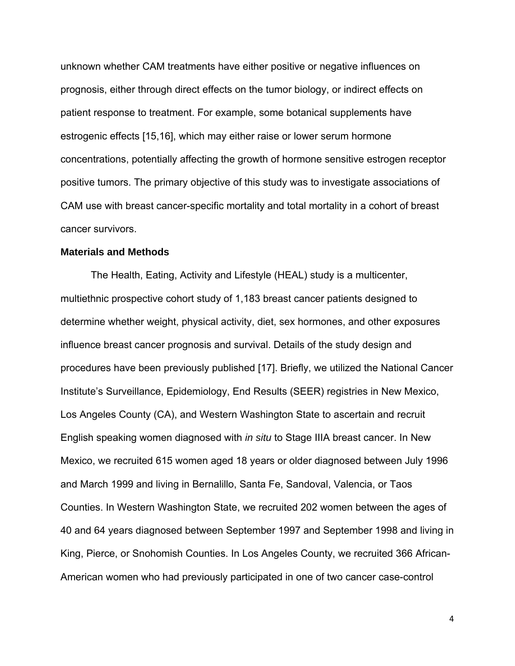unknown whether CAM treatments have either positive or negative influences on prognosis, either through direct effects on the tumor biology, or indirect effects on patient response to treatment. For example, some botanical supplements have estrogenic effects [15,16], which may either raise or lower serum hormone concentrations, potentially affecting the growth of hormone sensitive estrogen receptor positive tumors. The primary objective of this study was to investigate associations of CAM use with breast cancer-specific mortality and total mortality in a cohort of breast cancer survivors.

### **Materials and Methods**

The Health, Eating, Activity and Lifestyle (HEAL) study is a multicenter, multiethnic prospective cohort study of 1,183 breast cancer patients designed to determine whether weight, physical activity, diet, sex hormones, and other exposures influence breast cancer prognosis and survival. Details of the study design and procedures have been previously published [17]. Briefly, we utilized the National Cancer Institute's Surveillance, Epidemiology, End Results (SEER) registries in New Mexico, Los Angeles County (CA), and Western Washington State to ascertain and recruit English speaking women diagnosed with *in situ* to Stage IIIA breast cancer. In New Mexico, we recruited 615 women aged 18 years or older diagnosed between July 1996 and March 1999 and living in Bernalillo, Santa Fe, Sandoval, Valencia, or Taos Counties. In Western Washington State, we recruited 202 women between the ages of 40 and 64 years diagnosed between September 1997 and September 1998 and living in King, Pierce, or Snohomish Counties. In Los Angeles County, we recruited 366 African-American women who had previously participated in one of two cancer case-control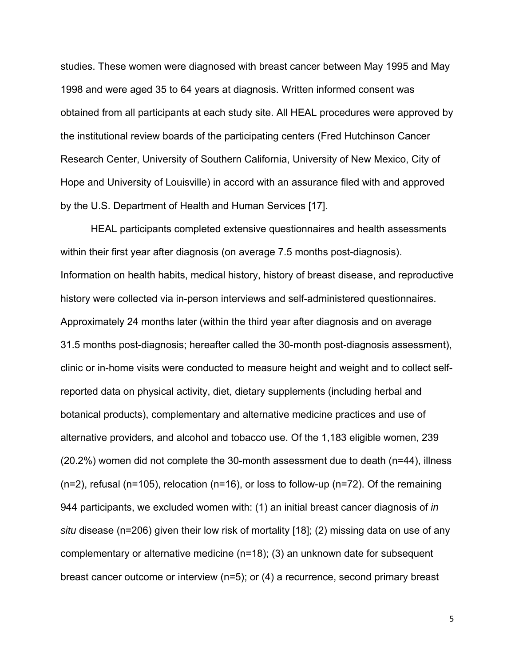studies. These women were diagnosed with breast cancer between May 1995 and May 1998 and were aged 35 to 64 years at diagnosis. Written informed consent was obtained from all participants at each study site. All HEAL procedures were approved by the institutional review boards of the participating centers (Fred Hutchinson Cancer Research Center, University of Southern California, University of New Mexico, City of Hope and University of Louisville) in accord with an assurance filed with and approved by the U.S. Department of Health and Human Services [17].

HEAL participants completed extensive questionnaires and health assessments within their first year after diagnosis (on average 7.5 months post-diagnosis). Information on health habits, medical history, history of breast disease, and reproductive history were collected via in-person interviews and self-administered questionnaires. Approximately 24 months later (within the third year after diagnosis and on average 31.5 months post-diagnosis; hereafter called the 30-month post-diagnosis assessment), clinic or in-home visits were conducted to measure height and weight and to collect selfreported data on physical activity, diet, dietary supplements (including herbal and botanical products), complementary and alternative medicine practices and use of alternative providers, and alcohol and tobacco use. Of the 1,183 eligible women, 239 (20.2%) women did not complete the 30-month assessment due to death (n=44), illness (n=2), refusal (n=105), relocation (n=16), or loss to follow-up (n=72). Of the remaining 944 participants, we excluded women with: (1) an initial breast cancer diagnosis of *in situ* disease (n=206) given their low risk of mortality [18]; (2) missing data on use of any complementary or alternative medicine (n=18); (3) an unknown date for subsequent breast cancer outcome or interview (n=5); or (4) a recurrence, second primary breast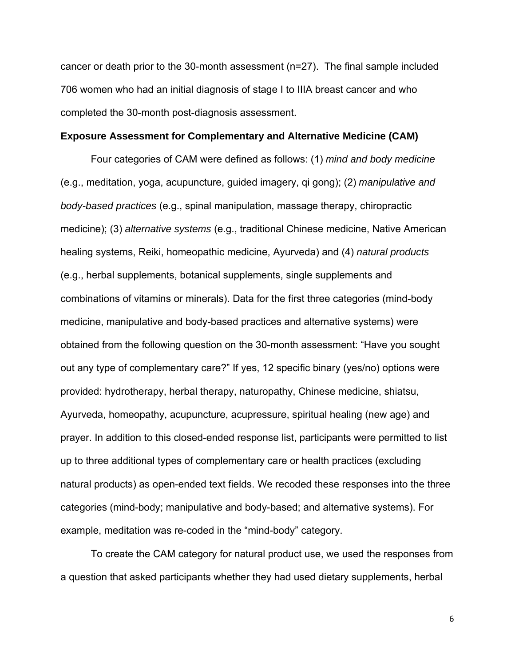cancer or death prior to the 30-month assessment (n=27). The final sample included 706 women who had an initial diagnosis of stage I to IIIA breast cancer and who completed the 30-month post-diagnosis assessment.

#### **Exposure Assessment for Complementary and Alternative Medicine (CAM)**

Four categories of CAM were defined as follows: (1) *mind and body medicine* (e.g., meditation, yoga, acupuncture, guided imagery, qi gong); (2) *manipulative and body-based practices* (e.g., spinal manipulation, massage therapy, chiropractic medicine); (3) *alternative systems* (e.g., traditional Chinese medicine, Native American healing systems, Reiki, homeopathic medicine, Ayurveda) and (4) *natural products* (e.g., herbal supplements, botanical supplements, single supplements and combinations of vitamins or minerals). Data for the first three categories (mind-body medicine, manipulative and body-based practices and alternative systems) were obtained from the following question on the 30-month assessment: "Have you sought out any type of complementary care?" If yes, 12 specific binary (yes/no) options were provided: hydrotherapy, herbal therapy, naturopathy, Chinese medicine, shiatsu, Ayurveda, homeopathy, acupuncture, acupressure, spiritual healing (new age) and prayer. In addition to this closed-ended response list, participants were permitted to list up to three additional types of complementary care or health practices (excluding natural products) as open-ended text fields. We recoded these responses into the three categories (mind-body; manipulative and body-based; and alternative systems). For example, meditation was re-coded in the "mind-body" category.

To create the CAM category for natural product use, we used the responses from a question that asked participants whether they had used dietary supplements, herbal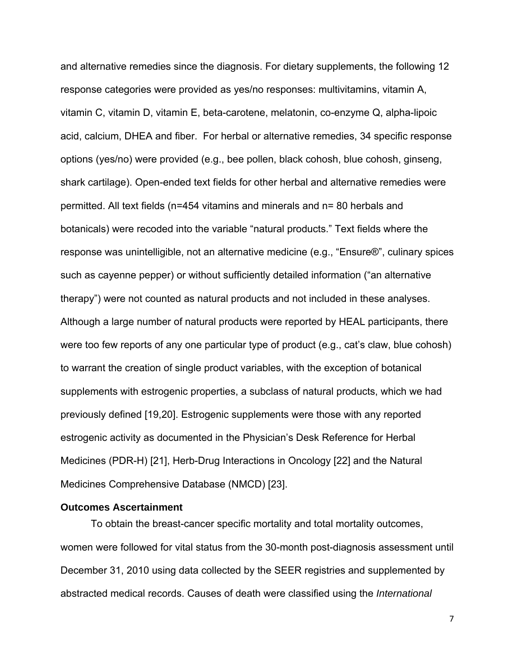and alternative remedies since the diagnosis. For dietary supplements, the following 12 response categories were provided as yes/no responses: multivitamins, vitamin A, vitamin C, vitamin D, vitamin E, beta-carotene, melatonin, co-enzyme Q, alpha-lipoic acid, calcium, DHEA and fiber. For herbal or alternative remedies, 34 specific response options (yes/no) were provided (e.g., bee pollen, black cohosh, blue cohosh, ginseng, shark cartilage). Open-ended text fields for other herbal and alternative remedies were permitted. All text fields (n=454 vitamins and minerals and n= 80 herbals and botanicals) were recoded into the variable "natural products." Text fields where the response was unintelligible, not an alternative medicine (e.g., "Ensure®", culinary spices such as cayenne pepper) or without sufficiently detailed information ("an alternative therapy") were not counted as natural products and not included in these analyses. Although a large number of natural products were reported by HEAL participants, there were too few reports of any one particular type of product (e.g., cat's claw, blue cohosh) to warrant the creation of single product variables, with the exception of botanical supplements with estrogenic properties, a subclass of natural products, which we had previously defined [19,20]. Estrogenic supplements were those with any reported estrogenic activity as documented in the Physician's Desk Reference for Herbal Medicines (PDR-H) [21], Herb-Drug Interactions in Oncology [22] and the Natural Medicines Comprehensive Database (NMCD) [23].

### **Outcomes Ascertainment**

To obtain the breast-cancer specific mortality and total mortality outcomes, women were followed for vital status from the 30-month post-diagnosis assessment until December 31, 2010 using data collected by the SEER registries and supplemented by abstracted medical records. Causes of death were classified using the *International*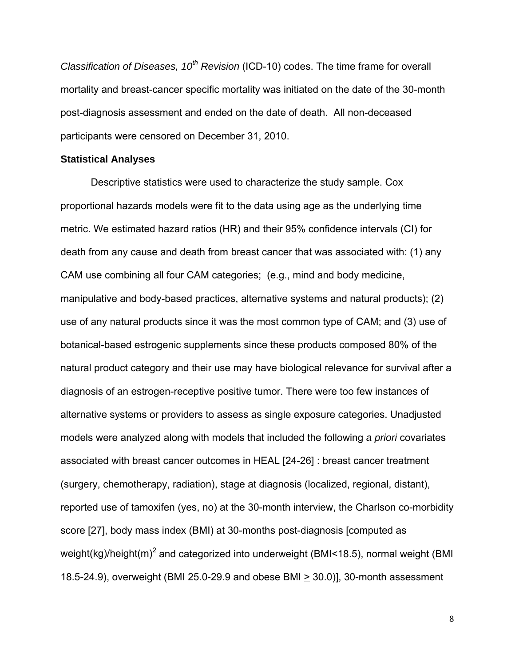*Classification of Diseases, 10<sup>th</sup> Revision* (ICD-10) codes. The time frame for overall mortality and breast-cancer specific mortality was initiated on the date of the 30-month post-diagnosis assessment and ended on the date of death. All non-deceased participants were censored on December 31, 2010.

### **Statistical Analyses**

Descriptive statistics were used to characterize the study sample. Cox proportional hazards models were fit to the data using age as the underlying time metric. We estimated hazard ratios (HR) and their 95% confidence intervals (CI) for death from any cause and death from breast cancer that was associated with: (1) any CAM use combining all four CAM categories; (e.g., mind and body medicine, manipulative and body-based practices, alternative systems and natural products); (2) use of any natural products since it was the most common type of CAM; and (3) use of botanical-based estrogenic supplements since these products composed 80% of the natural product category and their use may have biological relevance for survival after a diagnosis of an estrogen-receptive positive tumor. There were too few instances of alternative systems or providers to assess as single exposure categories. Unadjusted models were analyzed along with models that included the following *a priori* covariates associated with breast cancer outcomes in HEAL [24-26] : breast cancer treatment (surgery, chemotherapy, radiation), stage at diagnosis (localized, regional, distant), reported use of tamoxifen (yes, no) at the 30-month interview, the Charlson co-morbidity score [27], body mass index (BMI) at 30-months post-diagnosis [computed as weight(kg)/height(m)<sup>2</sup> and categorized into underweight (BMI<18.5), normal weight (BMI 18.5-24.9), overweight (BMI 25.0-29.9 and obese BMI > 30.0)], 30-month assessment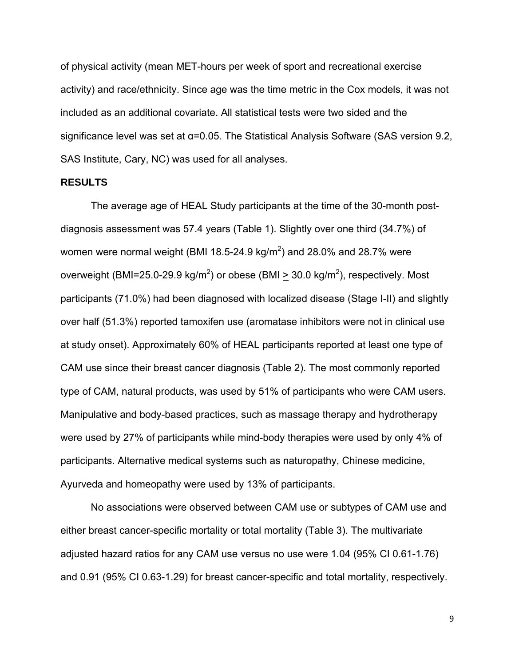of physical activity (mean MET-hours per week of sport and recreational exercise activity) and race/ethnicity. Since age was the time metric in the Cox models, it was not included as an additional covariate. All statistical tests were two sided and the significance level was set at α=0.05. The Statistical Analysis Software (SAS version 9.2, SAS Institute, Cary, NC) was used for all analyses.

### **RESULTS**

The average age of HEAL Study participants at the time of the 30-month postdiagnosis assessment was 57.4 years (Table 1). Slightly over one third (34.7%) of women were normal weight (BMI 18.5-24.9 kg/m<sup>2</sup>) and 28.0% and 28.7% were overweight (BMI=25.0-29.9 kg/m<sup>2</sup>) or obese (BMI  $\geq$  30.0 kg/m<sup>2</sup>), respectively. Most participants (71.0%) had been diagnosed with localized disease (Stage I-II) and slightly over half (51.3%) reported tamoxifen use (aromatase inhibitors were not in clinical use at study onset). Approximately 60% of HEAL participants reported at least one type of CAM use since their breast cancer diagnosis (Table 2). The most commonly reported type of CAM, natural products, was used by 51% of participants who were CAM users. Manipulative and body-based practices, such as massage therapy and hydrotherapy were used by 27% of participants while mind-body therapies were used by only 4% of participants. Alternative medical systems such as naturopathy, Chinese medicine, Ayurveda and homeopathy were used by 13% of participants.

 No associations were observed between CAM use or subtypes of CAM use and either breast cancer-specific mortality or total mortality (Table 3). The multivariate adjusted hazard ratios for any CAM use versus no use were 1.04 (95% CI 0.61-1.76) and 0.91 (95% CI 0.63-1.29) for breast cancer-specific and total mortality, respectively.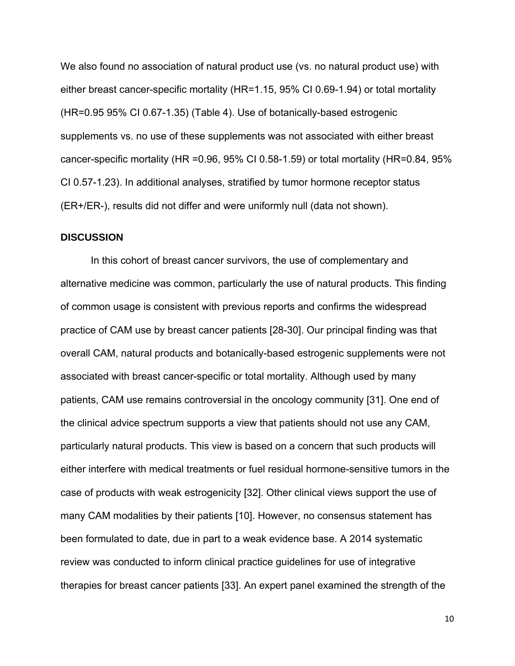We also found no association of natural product use (vs. no natural product use) with either breast cancer-specific mortality (HR=1.15, 95% CI 0.69-1.94) or total mortality (HR=0.95 95% CI 0.67-1.35) (Table 4). Use of botanically-based estrogenic supplements vs. no use of these supplements was not associated with either breast cancer-specific mortality (HR =0.96, 95% CI 0.58-1.59) or total mortality (HR=0.84, 95% CI 0.57-1.23). In additional analyses, stratified by tumor hormone receptor status (ER+/ER-), results did not differ and were uniformly null (data not shown).

## **DISCUSSION**

In this cohort of breast cancer survivors, the use of complementary and alternative medicine was common, particularly the use of natural products. This finding of common usage is consistent with previous reports and confirms the widespread practice of CAM use by breast cancer patients [28-30]. Our principal finding was that overall CAM, natural products and botanically-based estrogenic supplements were not associated with breast cancer-specific or total mortality. Although used by many patients, CAM use remains controversial in the oncology community [31]. One end of the clinical advice spectrum supports a view that patients should not use any CAM, particularly natural products. This view is based on a concern that such products will either interfere with medical treatments or fuel residual hormone-sensitive tumors in the case of products with weak estrogenicity [32]. Other clinical views support the use of many CAM modalities by their patients [10]. However, no consensus statement has been formulated to date, due in part to a weak evidence base. A 2014 systematic review was conducted to inform clinical practice guidelines for use of integrative therapies for breast cancer patients [33]. An expert panel examined the strength of the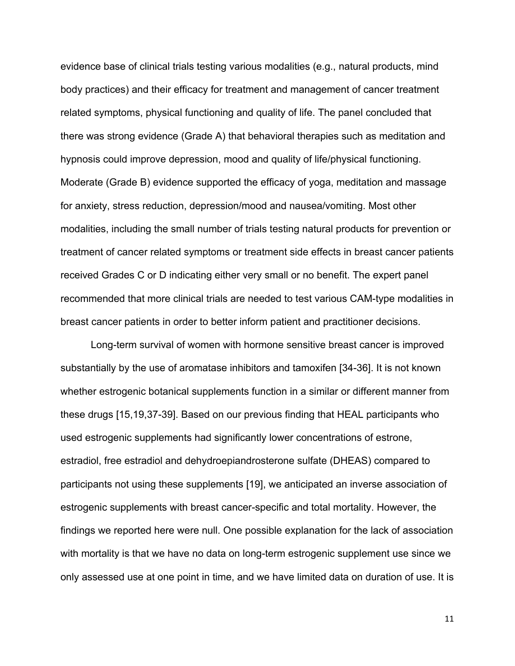evidence base of clinical trials testing various modalities (e.g., natural products, mind body practices) and their efficacy for treatment and management of cancer treatment related symptoms, physical functioning and quality of life. The panel concluded that there was strong evidence (Grade A) that behavioral therapies such as meditation and hypnosis could improve depression, mood and quality of life/physical functioning. Moderate (Grade B) evidence supported the efficacy of yoga, meditation and massage for anxiety, stress reduction, depression/mood and nausea/vomiting. Most other modalities, including the small number of trials testing natural products for prevention or treatment of cancer related symptoms or treatment side effects in breast cancer patients received Grades C or D indicating either very small or no benefit. The expert panel recommended that more clinical trials are needed to test various CAM-type modalities in breast cancer patients in order to better inform patient and practitioner decisions.

 Long-term survival of women with hormone sensitive breast cancer is improved substantially by the use of aromatase inhibitors and tamoxifen [34-36]. It is not known whether estrogenic botanical supplements function in a similar or different manner from these drugs [15,19,37-39]. Based on our previous finding that HEAL participants who used estrogenic supplements had significantly lower concentrations of estrone, estradiol, free estradiol and dehydroepiandrosterone sulfate (DHEAS) compared to participants not using these supplements [19], we anticipated an inverse association of estrogenic supplements with breast cancer-specific and total mortality. However, the findings we reported here were null. One possible explanation for the lack of association with mortality is that we have no data on long-term estrogenic supplement use since we only assessed use at one point in time, and we have limited data on duration of use. It is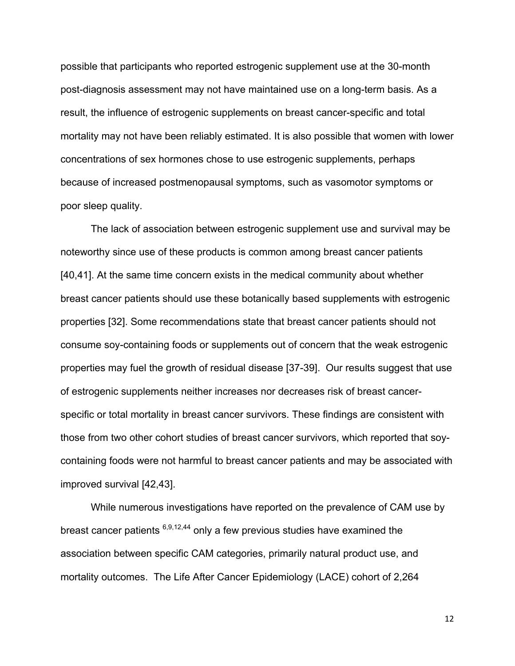possible that participants who reported estrogenic supplement use at the 30-month post-diagnosis assessment may not have maintained use on a long-term basis. As a result, the influence of estrogenic supplements on breast cancer-specific and total mortality may not have been reliably estimated. It is also possible that women with lower concentrations of sex hormones chose to use estrogenic supplements, perhaps because of increased postmenopausal symptoms, such as vasomotor symptoms or poor sleep quality.

The lack of association between estrogenic supplement use and survival may be noteworthy since use of these products is common among breast cancer patients [40,41]. At the same time concern exists in the medical community about whether breast cancer patients should use these botanically based supplements with estrogenic properties [32]. Some recommendations state that breast cancer patients should not consume soy-containing foods or supplements out of concern that the weak estrogenic properties may fuel the growth of residual disease [37-39]. Our results suggest that use of estrogenic supplements neither increases nor decreases risk of breast cancerspecific or total mortality in breast cancer survivors. These findings are consistent with those from two other cohort studies of breast cancer survivors, which reported that soycontaining foods were not harmful to breast cancer patients and may be associated with improved survival [42,43].

While numerous investigations have reported on the prevalence of CAM use by breast cancer patients  $6,9,12,44$  only a few previous studies have examined the association between specific CAM categories, primarily natural product use, and mortality outcomes. The Life After Cancer Epidemiology (LACE) cohort of 2,264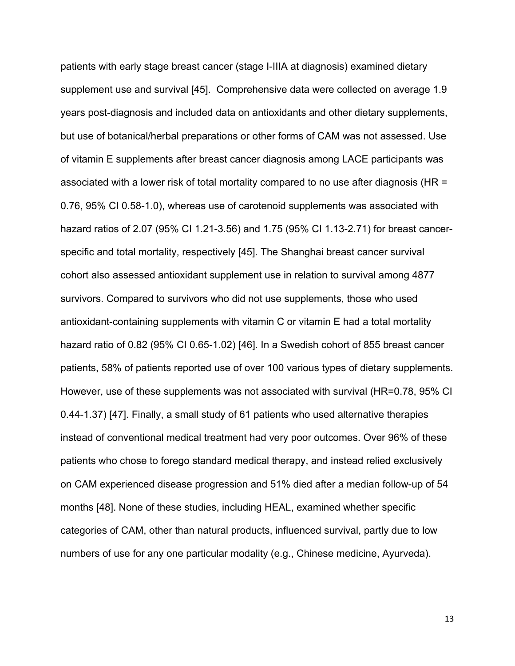patients with early stage breast cancer (stage I-IIIA at diagnosis) examined dietary supplement use and survival [45]. Comprehensive data were collected on average 1.9 years post-diagnosis and included data on antioxidants and other dietary supplements, but use of botanical/herbal preparations or other forms of CAM was not assessed. Use of vitamin E supplements after breast cancer diagnosis among LACE participants was associated with a lower risk of total mortality compared to no use after diagnosis (HR = 0.76, 95% CI 0.58-1.0), whereas use of carotenoid supplements was associated with hazard ratios of 2.07 (95% CI 1.21-3.56) and 1.75 (95% CI 1.13-2.71) for breast cancerspecific and total mortality, respectively [45]. The Shanghai breast cancer survival cohort also assessed antioxidant supplement use in relation to survival among 4877 survivors. Compared to survivors who did not use supplements, those who used antioxidant-containing supplements with vitamin C or vitamin E had a total mortality hazard ratio of 0.82 (95% CI 0.65-1.02) [46]. In a Swedish cohort of 855 breast cancer patients, 58% of patients reported use of over 100 various types of dietary supplements. However, use of these supplements was not associated with survival (HR=0.78, 95% CI 0.44-1.37) [47]. Finally, a small study of 61 patients who used alternative therapies instead of conventional medical treatment had very poor outcomes. Over 96% of these patients who chose to forego standard medical therapy, and instead relied exclusively on CAM experienced disease progression and 51% died after a median follow-up of 54 months [48]. None of these studies, including HEAL, examined whether specific categories of CAM, other than natural products, influenced survival, partly due to low numbers of use for any one particular modality (e.g., Chinese medicine, Ayurveda).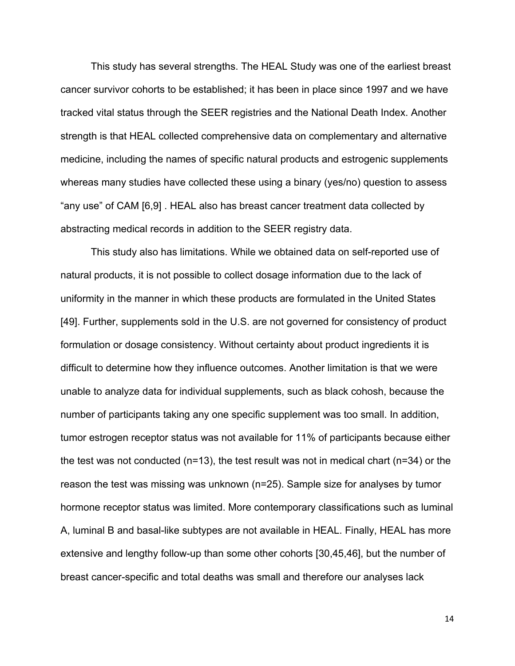This study has several strengths. The HEAL Study was one of the earliest breast cancer survivor cohorts to be established; it has been in place since 1997 and we have tracked vital status through the SEER registries and the National Death Index. Another strength is that HEAL collected comprehensive data on complementary and alternative medicine, including the names of specific natural products and estrogenic supplements whereas many studies have collected these using a binary (yes/no) question to assess "any use" of CAM [6,9] . HEAL also has breast cancer treatment data collected by abstracting medical records in addition to the SEER registry data.

This study also has limitations. While we obtained data on self-reported use of natural products, it is not possible to collect dosage information due to the lack of uniformity in the manner in which these products are formulated in the United States [49]. Further, supplements sold in the U.S. are not governed for consistency of product formulation or dosage consistency. Without certainty about product ingredients it is difficult to determine how they influence outcomes. Another limitation is that we were unable to analyze data for individual supplements, such as black cohosh, because the number of participants taking any one specific supplement was too small. In addition, tumor estrogen receptor status was not available for 11% of participants because either the test was not conducted ( $n=13$ ), the test result was not in medical chart ( $n=34$ ) or the reason the test was missing was unknown (n=25). Sample size for analyses by tumor hormone receptor status was limited. More contemporary classifications such as luminal A, luminal B and basal-like subtypes are not available in HEAL. Finally, HEAL has more extensive and lengthy follow-up than some other cohorts [30,45,46], but the number of breast cancer-specific and total deaths was small and therefore our analyses lack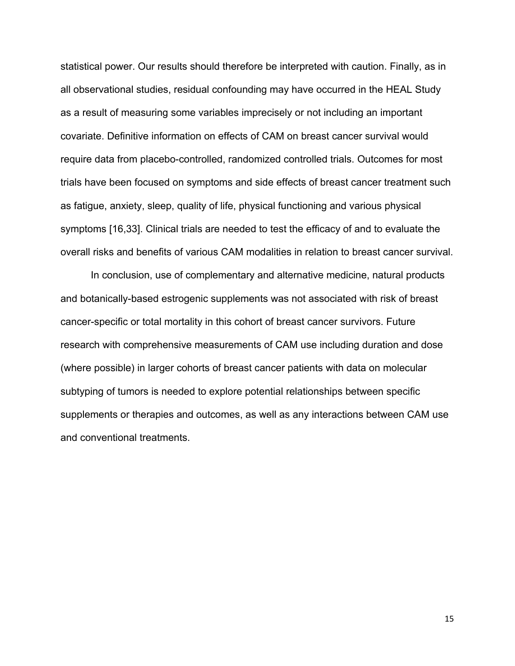statistical power. Our results should therefore be interpreted with caution. Finally, as in all observational studies, residual confounding may have occurred in the HEAL Study as a result of measuring some variables imprecisely or not including an important covariate. Definitive information on effects of CAM on breast cancer survival would require data from placebo-controlled, randomized controlled trials. Outcomes for most trials have been focused on symptoms and side effects of breast cancer treatment such as fatigue, anxiety, sleep, quality of life, physical functioning and various physical symptoms [16,33]. Clinical trials are needed to test the efficacy of and to evaluate the overall risks and benefits of various CAM modalities in relation to breast cancer survival.

 In conclusion, use of complementary and alternative medicine, natural products and botanically-based estrogenic supplements was not associated with risk of breast cancer-specific or total mortality in this cohort of breast cancer survivors. Future research with comprehensive measurements of CAM use including duration and dose (where possible) in larger cohorts of breast cancer patients with data on molecular subtyping of tumors is needed to explore potential relationships between specific supplements or therapies and outcomes, as well as any interactions between CAM use and conventional treatments.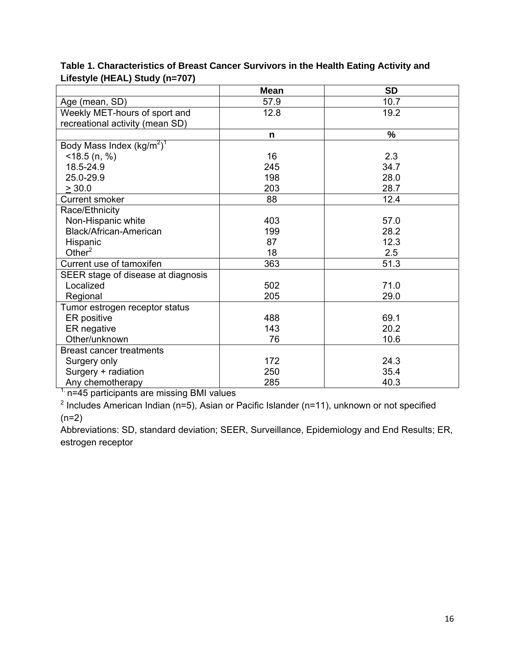|                                    | <b>Mean</b> | <b>SD</b>     |
|------------------------------------|-------------|---------------|
| Age (mean, SD)                     | 57.9        | 10.7          |
| Weekly MET-hours of sport and      | 12.8        | 19.2          |
| recreational activity (mean SD)    |             |               |
|                                    | n           | $\frac{9}{6}$ |
| Body Mass Index $(kg/m^2)^1$       |             |               |
| $<$ 18.5 (n, %)                    | 16          | 2.3           |
| 18.5-24.9                          | 245         | 34.7          |
| 25.0-29.9                          | 198         | 28.0          |
| > 30.0                             | 203         | 28.7          |
| Current smoker                     | 88          | 12.4          |
| Race/Ethnicity                     |             |               |
| Non-Hispanic white                 | 403         | 57.0          |
| Black/African-American             | 199         | 28.2          |
| Hispanic                           | 87          | 12.3          |
| Other $2$                          | 18          | 2.5           |
| Current use of tamoxifen           | 363         | 51.3          |
| SEER stage of disease at diagnosis |             |               |
| Localized                          | 502         | 71.0          |
| Regional                           | 205         | 29.0          |
| Tumor estrogen receptor status     |             |               |
| ER positive                        | 488         | 69.1          |
| ER negative                        | 143         | 20.2          |
| Other/unknown                      | 76          | 10.6          |
| <b>Breast cancer treatments</b>    |             |               |
| Surgery only                       | 172         | 24.3          |
| Surgery + radiation                | 250         | 35.4          |
| Any chemotherapy                   | 285         | 40.3          |

# **Table 1. Characteristics of Breast Cancer Survivors in the Health Eating Activity and Lifestyle (HEAL) Study (n=707)**

 $1$ . n=45 participants are missing BMI values

<sup>2</sup> Includes American Indian (n=5), Asian or Pacific Islander (n=11), unknown or not specified  $(n=2)$ 

Abbreviations: SD, standard deviation; SEER, Surveillance, Epidemiology and End Results; ER, estrogen receptor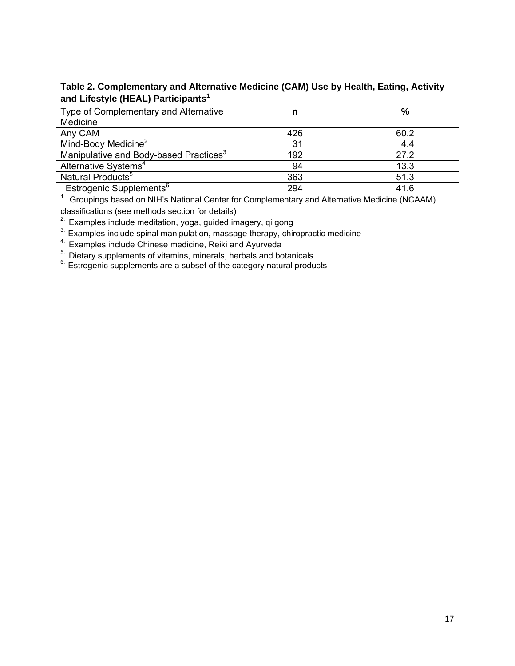# **Table 2. Complementary and Alternative Medicine (CAM) Use by Health, Eating, Activity and Lifestyle (HEAL) Participants<sup>1</sup>**

| Type of Complementary and Alternative              | n   | $\frac{0}{0}$ |
|----------------------------------------------------|-----|---------------|
| Medicine                                           |     |               |
| Any CAM                                            | 426 | 60.2          |
| Mind-Body Medicine <sup>2</sup>                    | 31  | 4.4           |
| Manipulative and Body-based Practices <sup>3</sup> | 192 | 27.2          |
| Alternative Systems <sup>4</sup>                   | 94  | 13.3          |
| Natural Products <sup>5</sup>                      | 363 | 51.3          |
| Estrogenic Supplements <sup>6</sup>                | 294 | 41.6          |

<sup>1</sup>. Groupings based on NIH's National Center for Complementary and Alternative Medicine (NCAAM) classifications (see methods section for details)

<sup>2</sup> Examples include meditation, yoga, guided imagery, qi gong

<sup>3</sup>. Examples include spinal manipulation, massage therapy, chiropractic medicine

<sup>4</sup> Examples include Chinese medicine, Reiki and Ayurveda<sup>5</sup> Dietary supplements of vitamins, minerals, herbals and botanicals

5. Dietary supplements of vitamins, minerals, herbals and botanicals 6. Estrogenic supplements are a subset of the category natural products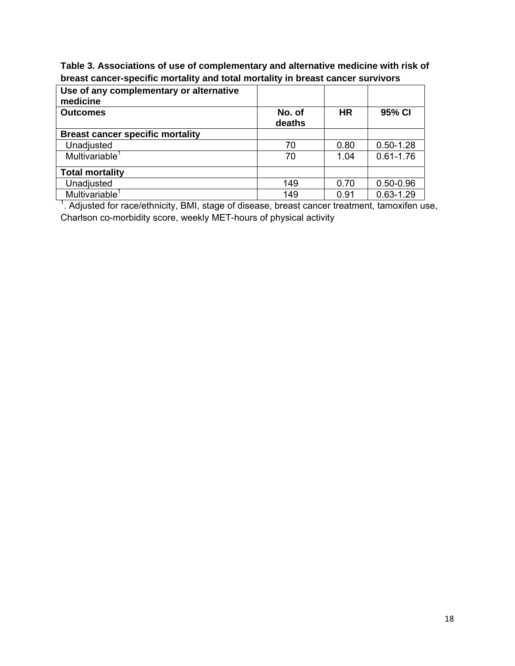**Table 3. Associations of use of complementary and alternative medicine with risk of breast cancer-specific mortality and total mortality in breast cancer survivors** 

| Use of any complementary or alternative<br>medicine                                           |                  |           |               |  |
|-----------------------------------------------------------------------------------------------|------------------|-----------|---------------|--|
| <b>Outcomes</b>                                                                               | No. of<br>deaths | <b>HR</b> | 95% CI        |  |
| <b>Breast cancer specific mortality</b>                                                       |                  |           |               |  |
| Unadjusted                                                                                    | 70               | 0.80      | $0.50 - 1.28$ |  |
| Multivariable <sup>1</sup>                                                                    | 70               | 1.04      | $0.61 - 1.76$ |  |
| <b>Total mortality</b>                                                                        |                  |           |               |  |
| Unadjusted                                                                                    | 149              | 0.70      | $0.50 - 0.96$ |  |
| Multivariable <sup>1</sup>                                                                    | 149              | 0.91      | $0.63 - 1.29$ |  |
| . Adjusted for race/ethnicity, BMI, stage of disease, breast cancer treatment, tamoxifen use, |                  |           |               |  |

Charlson co-morbidity score, weekly MET-hours of physical activity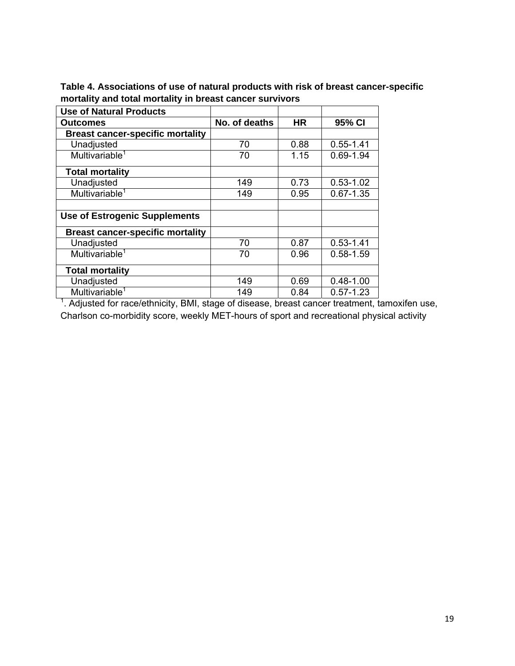| <b>Use of Natural Products</b>          |               |           |               |
|-----------------------------------------|---------------|-----------|---------------|
| Outcomes                                | No. of deaths | <b>HR</b> | 95% CI        |
| <b>Breast cancer-specific mortality</b> |               |           |               |
| Unadjusted                              | 70            | 0.88      | $0.55 - 1.41$ |
| Multivariable <sup>1</sup>              | 70            | 1.15      | 0.69-1.94     |
| <b>Total mortality</b>                  |               |           |               |
| Unadjusted                              | 149           | 0.73      | $0.53 - 1.02$ |
| Multivariable <sup>1</sup>              | 149           | 0.95      | $0.67 - 1.35$ |
|                                         |               |           |               |
| <b>Use of Estrogenic Supplements</b>    |               |           |               |
| <b>Breast cancer-specific mortality</b> |               |           |               |
| Unadjusted                              | 70            | 0.87      | $0.53 - 1.41$ |
| Multivariable <sup>1</sup>              | 70            | 0.96      | $0.58 - 1.59$ |
| <b>Total mortality</b>                  |               |           |               |
| Unadjusted                              | 149           | 0.69      | $0.48 - 1.00$ |
| Multivariable <sup>1</sup>              | 149           | 0.84      | $0.57 - 1.23$ |

**Table 4. Associations of use of natural products with risk of breast cancer-specific mortality and total mortality in breast cancer survivors** 

 Multivariable1 149 0.84 0.57-1.23 1 . Adjusted for race/ethnicity, BMI, stage of disease, breast cancer treatment, tamoxifen use, Charlson co-morbidity score, weekly MET-hours of sport and recreational physical activity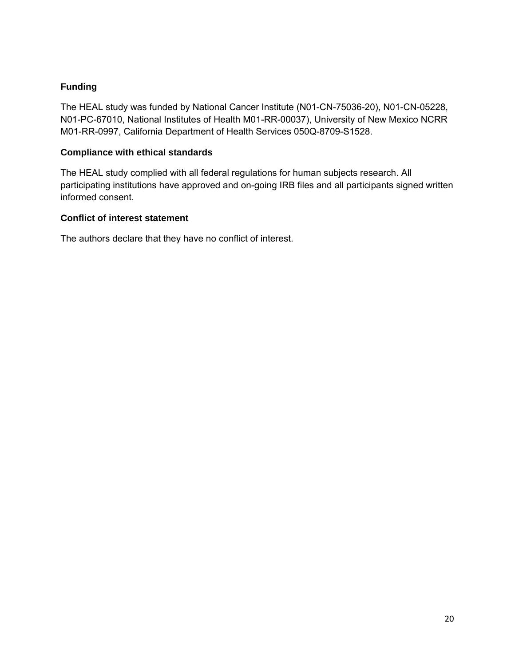## **Funding**

The HEAL study was funded by National Cancer Institute (N01-CN-75036-20), N01-CN-05228, N01-PC-67010, National Institutes of Health M01-RR-00037), University of New Mexico NCRR M01-RR-0997, California Department of Health Services 050Q-8709-S1528.

## **Compliance with ethical standards**

The HEAL study complied with all federal regulations for human subjects research. All participating institutions have approved and on-going IRB files and all participants signed written informed consent.

## **Conflict of interest statement**

The authors declare that they have no conflict of interest.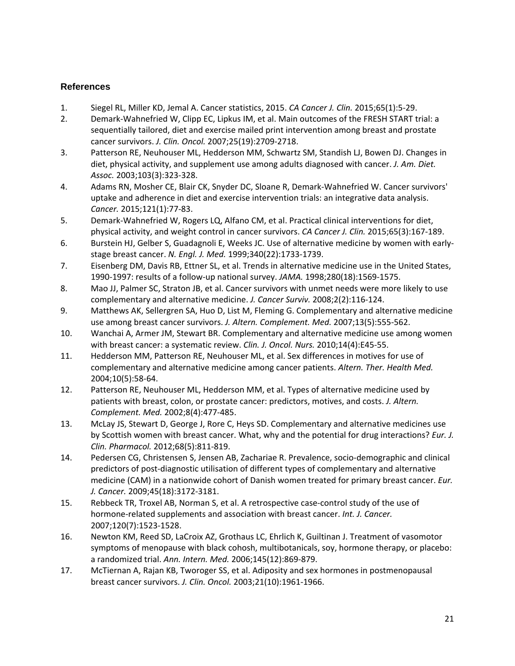# **References**

- 1. Siegel RL, Miller KD, Jemal A. Cancer statistics, 2015. *CA Cancer J. Clin.* 2015;65(1):5‐29.
- 2. Demark-Wahnefried W, Clipp EC, Lipkus IM, et al. Main outcomes of the FRESH START trial: a sequentially tailored, diet and exercise mailed print intervention among breast and prostate cancer survivors. *J. Clin. Oncol.* 2007;25(19):2709‐2718.
- 3. Patterson RE, Neuhouser ML, Hedderson MM, Schwartz SM, Standish LJ, Bowen DJ. Changes in diet, physical activity, and supplement use among adults diagnosed with cancer. *J. Am. Diet. Assoc.* 2003;103(3):323‐328.
- 4. Adams RN, Mosher CE, Blair CK, Snyder DC, Sloane R, Demark‐Wahnefried W. Cancer survivors' uptake and adherence in diet and exercise intervention trials: an integrative data analysis. *Cancer.* 2015;121(1):77‐83.
- 5. Demark-Wahnefried W, Rogers LQ, Alfano CM, et al. Practical clinical interventions for diet, physical activity, and weight control in cancer survivors. *CA Cancer J. Clin.* 2015;65(3):167‐189.
- 6. Burstein HJ, Gelber S, Guadagnoli E, Weeks JC. Use of alternative medicine by women with early‐ stage breast cancer. *N. Engl. J. Med.* 1999;340(22):1733‐1739.
- 7. Eisenberg DM, Davis RB, Ettner SL, et al. Trends in alternative medicine use in the United States, 1990‐1997: results of a follow‐up national survey. *JAMA.* 1998;280(18):1569‐1575.
- 8. Mao JJ, Palmer SC, Straton JB, et al. Cancer survivors with unmet needs were more likely to use complementary and alternative medicine. *J. Cancer Surviv.* 2008;2(2):116‐124.
- 9. Matthews AK, Sellergren SA, Huo D, List M, Fleming G. Complementary and alternative medicine use among breast cancer survivors. *J. Altern. Complement. Med.* 2007;13(5):555‐562.
- 10. Wanchai A, Armer JM, Stewart BR. Complementary and alternative medicine use among women with breast cancer: a systematic review. *Clin. J. Oncol. Nurs.* 2010;14(4):E45‐55.
- 11. Hedderson MM, Patterson RE, Neuhouser ML, et al. Sex differences in motives for use of complementary and alternative medicine among cancer patients. *Altern. Ther. Health Med.* 2004;10(5):58‐64.
- 12. Patterson RE, Neuhouser ML, Hedderson MM, et al. Types of alternative medicine used by patients with breast, colon, or prostate cancer: predictors, motives, and costs. *J. Altern. Complement. Med.* 2002;8(4):477‐485.
- 13. McLay JS, Stewart D, George J, Rore C, Heys SD. Complementary and alternative medicines use by Scottish women with breast cancer. What, why and the potential for drug interactions? *Eur. J. Clin. Pharmacol.* 2012;68(5):811‐819.
- 14. Pedersen CG, Christensen S, Jensen AB, Zachariae R. Prevalence, socio‐demographic and clinical predictors of post‐diagnostic utilisation of different types of complementary and alternative medicine (CAM) in a nationwide cohort of Danish women treated for primary breast cancer. *Eur. J. Cancer.* 2009;45(18):3172‐3181.
- 15. Rebbeck TR, Troxel AB, Norman S, et al. A retrospective case‐control study of the use of hormone‐related supplements and association with breast cancer. *Int. J. Cancer.* 2007;120(7):1523‐1528.
- 16. Newton KM, Reed SD, LaCroix AZ, Grothaus LC, Ehrlich K, Guiltinan J. Treatment of vasomotor symptoms of menopause with black cohosh, multibotanicals, soy, hormone therapy, or placebo: a randomized trial. *Ann. Intern. Med.* 2006;145(12):869‐879.
- 17. McTiernan A, Rajan KB, Tworoger SS, et al. Adiposity and sex hormones in postmenopausal breast cancer survivors. *J. Clin. Oncol.* 2003;21(10):1961‐1966.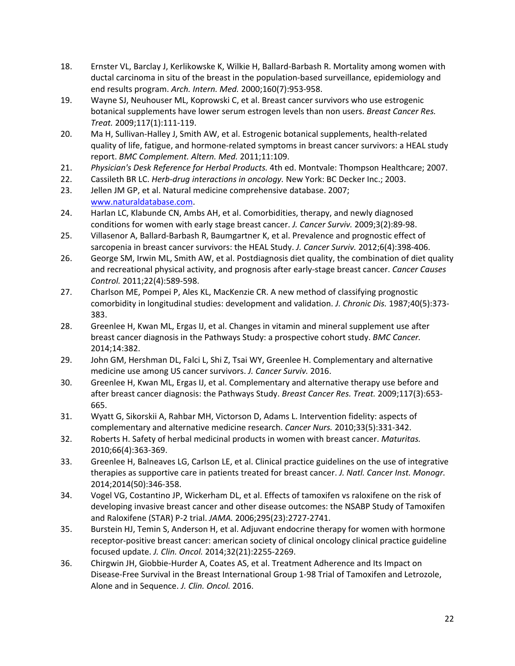- 18. Ernster VL, Barclay J, Kerlikowske K, Wilkie H, Ballard‐Barbash R. Mortality among women with ductal carcinoma in situ of the breast in the population‐based surveillance, epidemiology and end results program. *Arch. Intern. Med.* 2000;160(7):953‐958.
- 19. Wayne SJ, Neuhouser ML, Koprowski C, et al. Breast cancer survivors who use estrogenic botanical supplements have lower serum estrogen levels than non users. *Breast Cancer Res. Treat.* 2009;117(1):111‐119.
- 20. Ma H, Sullivan-Halley J, Smith AW, et al. Estrogenic botanical supplements, health-related quality of life, fatigue, and hormone‐related symptoms in breast cancer survivors: a HEAL study report. *BMC Complement. Altern. Med.* 2011;11:109.
- 21. *Physician's Desk Reference for Herbal Products.* 4th ed. Montvale: Thompson Healthcare; 2007.
- 22. Cassileth BR LC. *Herb‐drug interactions in oncology.* New York: BC Decker Inc.; 2003.
- 23. Jellen JM GP, et al. Natural medicine comprehensive database. 2007; www.naturaldatabase.com.
- 24. Harlan LC, Klabunde CN, Ambs AH, et al. Comorbidities, therapy, and newly diagnosed conditions for women with early stage breast cancer. *J. Cancer Surviv.* 2009;3(2):89‐98.
- 25. Villasenor A, Ballard-Barbash R, Baumgartner K, et al. Prevalence and prognostic effect of sarcopenia in breast cancer survivors: the HEAL Study. *J. Cancer Surviv.* 2012;6(4):398‐406.
- 26. George SM, Irwin ML, Smith AW, et al. Postdiagnosis diet quality, the combination of diet quality and recreational physical activity, and prognosis after early‐stage breast cancer. *Cancer Causes Control.* 2011;22(4):589‐598.
- 27. Charlson ME, Pompei P, Ales KL, MacKenzie CR. A new method of classifying prognostic comorbidity in longitudinal studies: development and validation. *J. Chronic Dis.* 1987;40(5):373‐ 383.
- 28. Greenlee H, Kwan ML, Ergas IJ, et al. Changes in vitamin and mineral supplement use after breast cancer diagnosis in the Pathways Study: a prospective cohort study. *BMC Cancer.* 2014;14:382.
- 29. John GM, Hershman DL, Falci L, Shi Z, Tsai WY, Greenlee H. Complementary and alternative medicine use among US cancer survivors. *J. Cancer Surviv.* 2016.
- 30. Greenlee H, Kwan ML, Ergas IJ, et al. Complementary and alternative therapy use before and after breast cancer diagnosis: the Pathways Study. *Breast Cancer Res. Treat.* 2009;117(3):653‐ 665.
- 31. Wyatt G, Sikorskii A, Rahbar MH, Victorson D, Adams L. Intervention fidelity: aspects of complementary and alternative medicine research. *Cancer Nurs.* 2010;33(5):331‐342.
- 32. Roberts H. Safety of herbal medicinal products in women with breast cancer. *Maturitas.* 2010;66(4):363‐369.
- 33. Greenlee H, Balneaves LG, Carlson LE, et al. Clinical practice guidelines on the use of integrative therapies as supportive care in patients treated for breast cancer. *J. Natl. Cancer Inst. Monogr.* 2014;2014(50):346‐358.
- 34. Vogel VG, Costantino JP, Wickerham DL, et al. Effects of tamoxifen vs raloxifene on the risk of developing invasive breast cancer and other disease outcomes: the NSABP Study of Tamoxifen and Raloxifene (STAR) P‐2 trial. *JAMA.* 2006;295(23):2727‐2741.
- 35. Burstein HJ, Temin S, Anderson H, et al. Adjuvant endocrine therapy for women with hormone receptor‐positive breast cancer: american society of clinical oncology clinical practice guideline focused update. *J. Clin. Oncol.* 2014;32(21):2255‐2269.
- 36. Chirgwin JH, Giobbie‐Hurder A, Coates AS, et al. Treatment Adherence and Its Impact on Disease‐Free Survival in the Breast International Group 1‐98 Trial of Tamoxifen and Letrozole, Alone and in Sequence. *J. Clin. Oncol.* 2016.